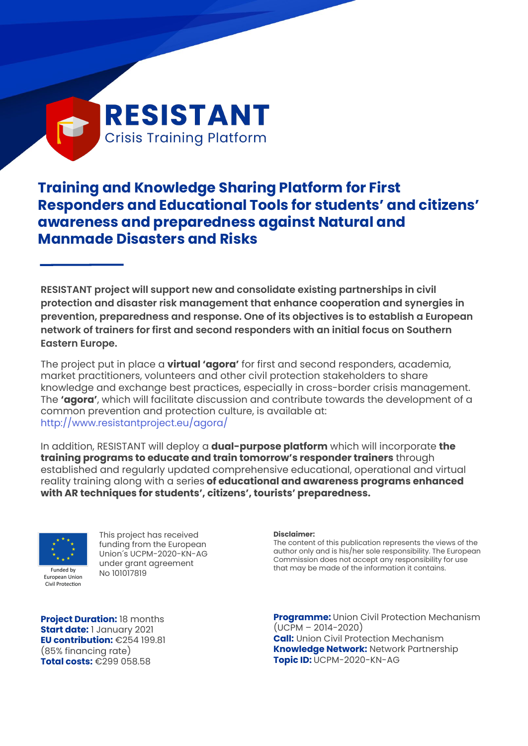# **RESISTANT Crisis Training Platform**

# **Training and Knowledge Sharing Platform for First Responders and Educational Tools for students' and citizens' awareness and preparedness against Natural and Manmade Disasters and Risks**

**RESISTANT project will support new and consolidate existing partnerships in civil protection and disaster risk management that enhance cooperation and synergies in prevention, preparedness and response. One of its objectives is to establish a European network of trainers for first and second responders with an initial focus on Southern Eastern Europe.**

The project put in place a **virtual 'agora'** for first and second responders, academia, market practitioners, volunteers and other civil protection stakeholders to share knowledge and exchange best practices, especially in cross-border crisis management. The **'agora'**, which will facilitate discussion and contribute towards the development of a common prevention and protection culture, is available at: <http://www.resistantproject.eu/agora/>

In addition, RESISTANT will deploy a **dual-purpose platform** which will incorporate **the training programs to educate and train tomorrow's responder trainers** through established and regularly updated comprehensive educational, operational and virtual reality training along with a series **of educational and awareness programs enhanced with AR techniques for students', citizens', tourists' preparedness.**



Civil Protection

This project has received funding from the European Union´s UCPM-2020-KN-AG under grant agreement No 101017819

**Disclaimer:**

The content of this publication represents the views of the author only and is his/her sole responsibility. The European Commission does not accept any responsibility for use that may be made of the information it contains.

**Project Duration:** 18 months **Start date:** 1 January 2021 **EU contribution:** €254 199.81 (85% financing rate) **Total costs:** €299 058.58

**Programme:** Union Civil Protection Mechanism  $(UCPM - 2014 - 2020)$ **Call:** Union Civil Protection Mechanism **Knowledge Network:** Network Partnership **Topic ID:** UCPM-2020-KN-AG